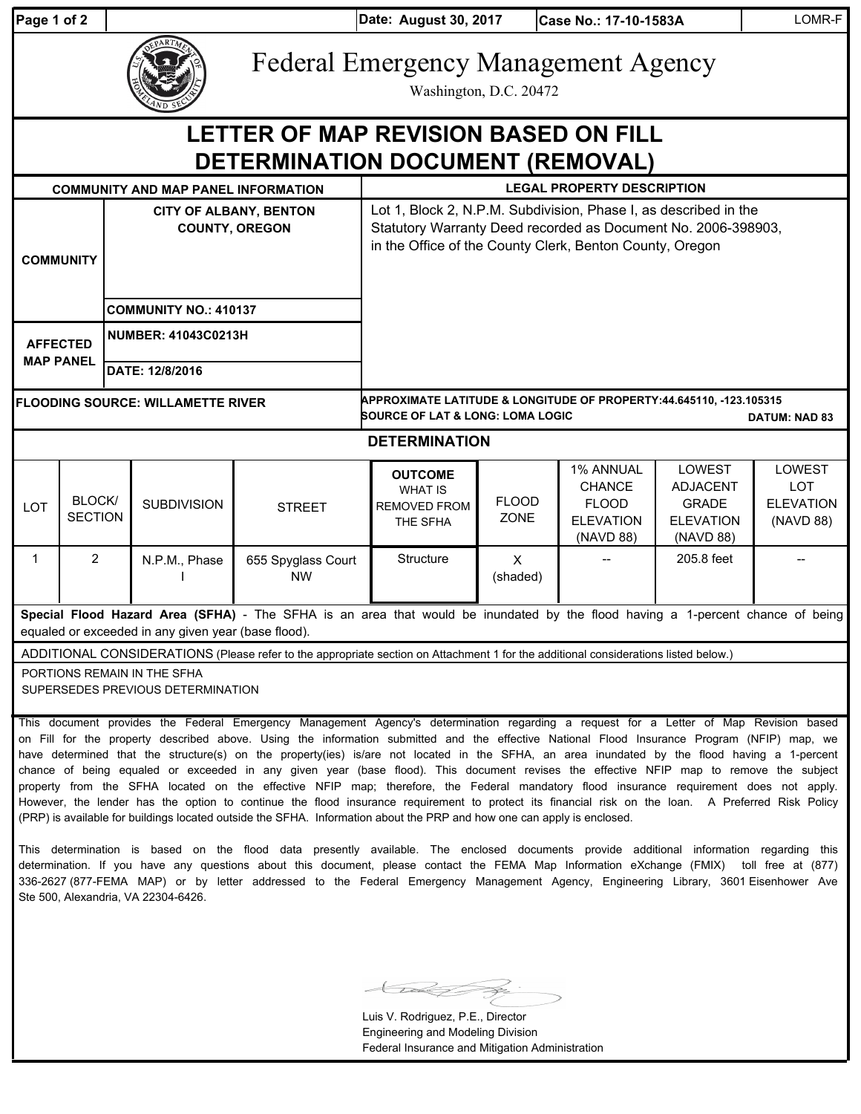| Page 1 of 2                                                                                                                                                                           |                          |                                                        |                                                                      |                                                                                                                                                                                                                                                                                                                                                                                                                                                                                                                                                                                                                                                                                                                                                                                                                                                                               | Date: August 30, 2017                                                                                                                                                                         |                             | Case No.: 17-10-1583A                                                       |                                                                            | LOMR-F                                                       |
|---------------------------------------------------------------------------------------------------------------------------------------------------------------------------------------|--------------------------|--------------------------------------------------------|----------------------------------------------------------------------|-------------------------------------------------------------------------------------------------------------------------------------------------------------------------------------------------------------------------------------------------------------------------------------------------------------------------------------------------------------------------------------------------------------------------------------------------------------------------------------------------------------------------------------------------------------------------------------------------------------------------------------------------------------------------------------------------------------------------------------------------------------------------------------------------------------------------------------------------------------------------------|-----------------------------------------------------------------------------------------------------------------------------------------------------------------------------------------------|-----------------------------|-----------------------------------------------------------------------------|----------------------------------------------------------------------------|--------------------------------------------------------------|
|                                                                                                                                                                                       |                          |                                                        | <b>Federal Emergency Management Agency</b><br>Washington, D.C. 20472 |                                                                                                                                                                                                                                                                                                                                                                                                                                                                                                                                                                                                                                                                                                                                                                                                                                                                               |                                                                                                                                                                                               |                             |                                                                             |                                                                            |                                                              |
| <b>LETTER OF MAP REVISION BASED ON FILL</b><br>DETERMINATION DOCUMENT (REMOVAL)                                                                                                       |                          |                                                        |                                                                      |                                                                                                                                                                                                                                                                                                                                                                                                                                                                                                                                                                                                                                                                                                                                                                                                                                                                               |                                                                                                                                                                                               |                             |                                                                             |                                                                            |                                                              |
| <b>COMMUNITY AND MAP PANEL INFORMATION</b>                                                                                                                                            |                          |                                                        |                                                                      |                                                                                                                                                                                                                                                                                                                                                                                                                                                                                                                                                                                                                                                                                                                                                                                                                                                                               | <b>LEGAL PROPERTY DESCRIPTION</b>                                                                                                                                                             |                             |                                                                             |                                                                            |                                                              |
| <b>COMMUNITY</b>                                                                                                                                                                      |                          | <b>CITY OF ALBANY, BENTON</b><br><b>COUNTY, OREGON</b> |                                                                      |                                                                                                                                                                                                                                                                                                                                                                                                                                                                                                                                                                                                                                                                                                                                                                                                                                                                               | Lot 1, Block 2, N.P.M. Subdivision, Phase I, as described in the<br>Statutory Warranty Deed recorded as Document No. 2006-398903,<br>in the Office of the County Clerk, Benton County, Oregon |                             |                                                                             |                                                                            |                                                              |
|                                                                                                                                                                                       |                          | <b>COMMUNITY NO.: 410137</b>                           |                                                                      |                                                                                                                                                                                                                                                                                                                                                                                                                                                                                                                                                                                                                                                                                                                                                                                                                                                                               |                                                                                                                                                                                               |                             |                                                                             |                                                                            |                                                              |
| <b>AFFECTED</b><br><b>MAP PANEL</b>                                                                                                                                                   |                          | <b>NUMBER: 41043C0213H</b>                             |                                                                      |                                                                                                                                                                                                                                                                                                                                                                                                                                                                                                                                                                                                                                                                                                                                                                                                                                                                               |                                                                                                                                                                                               |                             |                                                                             |                                                                            |                                                              |
|                                                                                                                                                                                       |                          | DATE: 12/8/2016                                        |                                                                      |                                                                                                                                                                                                                                                                                                                                                                                                                                                                                                                                                                                                                                                                                                                                                                                                                                                                               |                                                                                                                                                                                               |                             |                                                                             |                                                                            |                                                              |
| <b>FLOODING SOURCE: WILLAMETTE RIVER</b>                                                                                                                                              |                          |                                                        |                                                                      |                                                                                                                                                                                                                                                                                                                                                                                                                                                                                                                                                                                                                                                                                                                                                                                                                                                                               | APPROXIMATE LATITUDE & LONGITUDE OF PROPERTY:44.645110, -123.105315<br><b>SOURCE OF LAT &amp; LONG: LOMA LOGIC</b><br><b>DATUM: NAD 83</b>                                                    |                             |                                                                             |                                                                            |                                                              |
| <b>DETERMINATION</b>                                                                                                                                                                  |                          |                                                        |                                                                      |                                                                                                                                                                                                                                                                                                                                                                                                                                                                                                                                                                                                                                                                                                                                                                                                                                                                               |                                                                                                                                                                                               |                             |                                                                             |                                                                            |                                                              |
| LOT                                                                                                                                                                                   | BLOCK/<br><b>SECTION</b> |                                                        | <b>SUBDIVISION</b>                                                   | <b>STREET</b>                                                                                                                                                                                                                                                                                                                                                                                                                                                                                                                                                                                                                                                                                                                                                                                                                                                                 | <b>OUTCOME</b><br><b>WHAT IS</b><br><b>REMOVED FROM</b><br>THE SFHA                                                                                                                           | <b>FLOOD</b><br><b>ZONE</b> | 1% ANNUAL<br><b>CHANCE</b><br><b>FLOOD</b><br><b>ELEVATION</b><br>(NAVD 88) | LOWEST<br><b>ADJACENT</b><br><b>GRADE</b><br><b>ELEVATION</b><br>(NAVD 88) | <b>LOWEST</b><br><b>LOT</b><br><b>ELEVATION</b><br>(NAVD 88) |
| $\mathbf{1}$                                                                                                                                                                          | $\overline{2}$           |                                                        | N.P.M., Phase                                                        | 655 Spyglass Court<br><b>NW</b>                                                                                                                                                                                                                                                                                                                                                                                                                                                                                                                                                                                                                                                                                                                                                                                                                                               | Structure                                                                                                                                                                                     | $\mathsf{X}$<br>(shaded)    |                                                                             | 205.8 feet                                                                 |                                                              |
| Special Flood Hazard Area (SFHA) - The SFHA is an area that would be inundated by the flood having a 1-percent chance of being<br>equaled or exceeded in any given year (base flood). |                          |                                                        |                                                                      |                                                                                                                                                                                                                                                                                                                                                                                                                                                                                                                                                                                                                                                                                                                                                                                                                                                                               |                                                                                                                                                                                               |                             |                                                                             |                                                                            |                                                              |
| ADDITIONAL CONSIDERATIONS (Please refer to the appropriate section on Attachment 1 for the additional considerations listed below.)                                                   |                          |                                                        |                                                                      |                                                                                                                                                                                                                                                                                                                                                                                                                                                                                                                                                                                                                                                                                                                                                                                                                                                                               |                                                                                                                                                                                               |                             |                                                                             |                                                                            |                                                              |
| PORTIONS REMAIN IN THE SFHA<br>SUPERSEDES PREVIOUS DETERMINATION                                                                                                                      |                          |                                                        |                                                                      |                                                                                                                                                                                                                                                                                                                                                                                                                                                                                                                                                                                                                                                                                                                                                                                                                                                                               |                                                                                                                                                                                               |                             |                                                                             |                                                                            |                                                              |
|                                                                                                                                                                                       |                          |                                                        |                                                                      | This document provides the Federal Emergency Management Agency's determination regarding a request for a Letter of Map Revision based<br>on Fill for the property described above. Using the information submitted and the effective National Flood Insurance Program (NFIP) map, we<br>have determined that the structure(s) on the property(ies) is/are not located in the SFHA, an area inundated by the flood having a 1-percent<br>chance of being equaled or exceeded in any given year (base flood). This document revises the effective NFIP map to remove the subject<br>property from the SFHA located on the effective NFIP map; therefore, the Federal mandatory flood insurance requirement does not apply.<br>However, the lender has the option to continue the flood insurance requirement to protect its financial risk on the loan. A Preferred Risk Policy |                                                                                                                                                                                               |                             |                                                                             |                                                                            |                                                              |

This determination is based on the flood data presently available. The enclosed documents provide additional information regarding this determination. If you have any questions about this document, please contact the FEMA Map Information eXchange (FMIX) toll free at (877) 336-2627 (877-FEMA MAP) or by letter addressed to the Federal Emergency Management Agency, Engineering Library, 3601 Eisenhower Ave Ste 500, Alexandria, VA 22304-6426.

(PRP) is available for buildings located outside the SFHA. Information about the PRP and how one can apply is enclosed.

≤

Luis V. Rodriguez, P.E., Director Engineering and Modeling Division Federal Insurance and Mitigation Administration